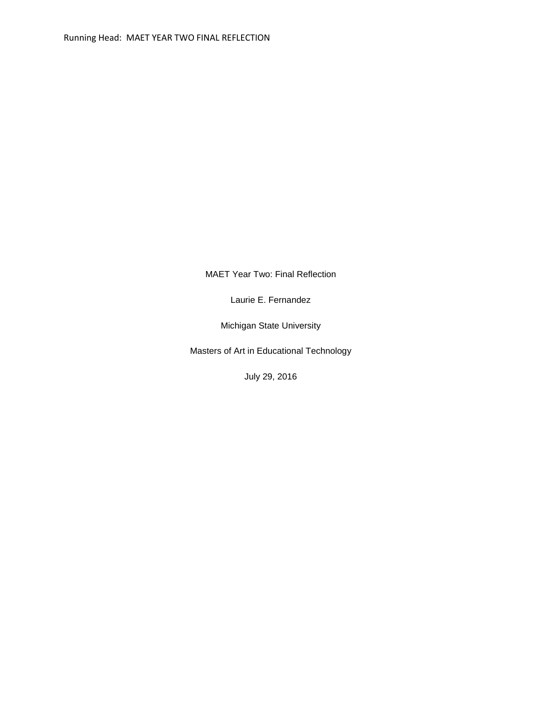MAET Year Two: Final Reflection

Laurie E. Fernandez

Michigan State University

Masters of Art in Educational Technology

July 29, 2016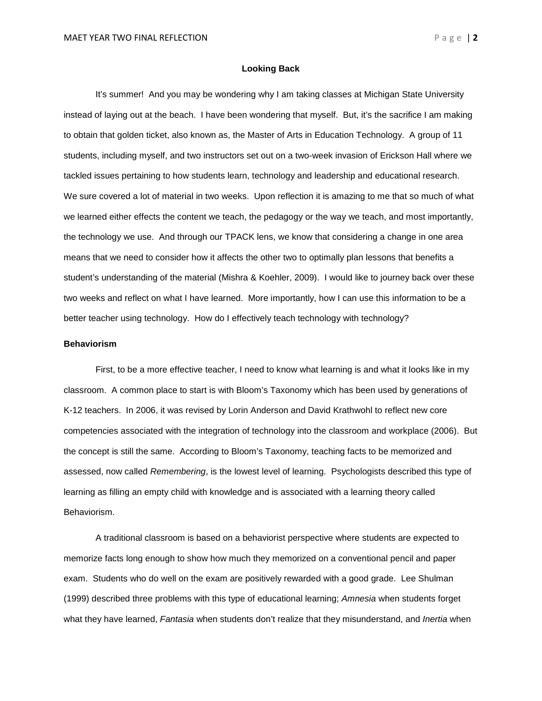## **Looking Back**

It's summer! And you may be wondering why I am taking classes at Michigan State University instead of laying out at the beach. I have been wondering that myself. But, it's the sacrifice I am making to obtain that golden ticket, also known as, the Master of Arts in Education Technology. A group of 11 students, including myself, and two instructors set out on a two-week invasion of Erickson Hall where we tackled issues pertaining to how students learn, technology and leadership and educational research. We sure covered a lot of material in two weeks. Upon reflection it is amazing to me that so much of what we learned either effects the content we teach, the pedagogy or the way we teach, and most importantly, the technology we use. And through our TPACK lens, we know that considering a change in one area means that we need to consider how it affects the other two to optimally plan lessons that benefits a student's understanding of the material (Mishra & Koehler, 2009). I would like to journey back over these two weeks and reflect on what I have learned. More importantly, how I can use this information to be a better teacher using technology. How do I effectively teach technology with technology?

## **Behaviorism**

First, to be a more effective teacher, I need to know what learning is and what it looks like in my classroom. A common place to start is with Bloom's Taxonomy which has been used by generations of K-12 teachers. In 2006, it was revised by Lorin Anderson and David Krathwohl to reflect new core competencies associated with the integration of technology into the classroom and workplace (2006). But the concept is still the same. According to Bloom's Taxonomy, teaching facts to be memorized and assessed, now called *Remembering*, is the lowest level of learning. Psychologists described this type of learning as filling an empty child with knowledge and is associated with a learning theory called Behaviorism.

A traditional classroom is based on a behaviorist perspective where students are expected to memorize facts long enough to show how much they memorized on a conventional pencil and paper exam. Students who do well on the exam are positively rewarded with a good grade. Lee Shulman (1999) described three problems with this type of educational learning; *Amnesia* when students forget what they have learned, *Fantasia* when students don't realize that they misunderstand, and *Inertia* when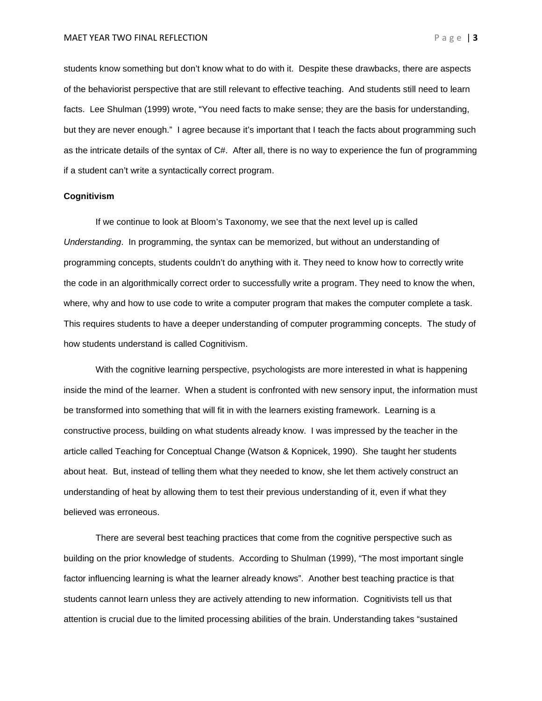students know something but don't know what to do with it. Despite these drawbacks, there are aspects of the behaviorist perspective that are still relevant to effective teaching. And students still need to learn facts. Lee Shulman (1999) wrote, "You need facts to make sense; they are the basis for understanding, but they are never enough." I agree because it's important that I teach the facts about programming such as the intricate details of the syntax of C#. After all, there is no way to experience the fun of programming if a student can't write a syntactically correct program.

## **Cognitivism**

If we continue to look at Bloom's Taxonomy, we see that the next level up is called *Understanding*. In programming, the syntax can be memorized, but without an understanding of programming concepts, students couldn't do anything with it. They need to know how to correctly write the code in an algorithmically correct order to successfully write a program. They need to know the when, where, why and how to use code to write a computer program that makes the computer complete a task. This requires students to have a deeper understanding of computer programming concepts. The study of how students understand is called Cognitivism.

With the cognitive learning perspective, psychologists are more interested in what is happening inside the mind of the learner. When a student is confronted with new sensory input, the information must be transformed into something that will fit in with the learners existing framework. Learning is a constructive process, building on what students already know. I was impressed by the teacher in the article called Teaching for Conceptual Change (Watson & Kopnicek, 1990). She taught her students about heat. But, instead of telling them what they needed to know, she let them actively construct an understanding of heat by allowing them to test their previous understanding of it, even if what they believed was erroneous.

There are several best teaching practices that come from the cognitive perspective such as building on the prior knowledge of students. According to Shulman (1999), "The most important single factor influencing learning is what the learner already knows". Another best teaching practice is that students cannot learn unless they are actively attending to new information. Cognitivists tell us that attention is crucial due to the limited processing abilities of the brain. Understanding takes "sustained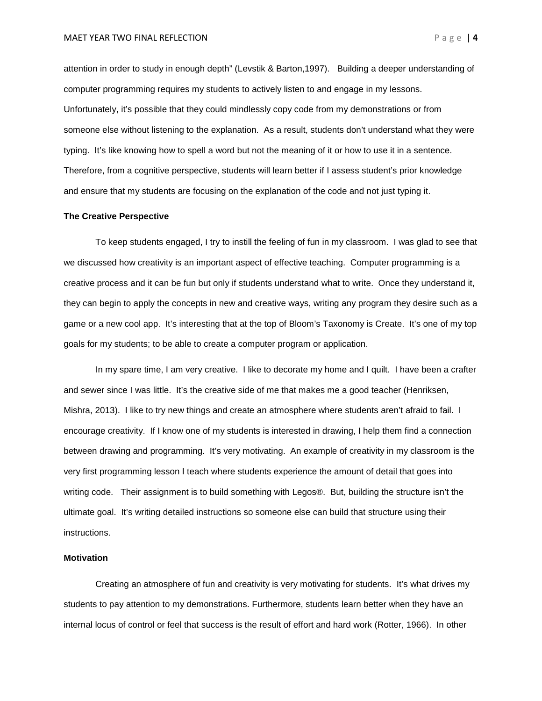attention in order to study in enough depth" (Levstik & Barton,1997). Building a deeper understanding of computer programming requires my students to actively listen to and engage in my lessons. Unfortunately, it's possible that they could mindlessly copy code from my demonstrations or from someone else without listening to the explanation. As a result, students don't understand what they were typing. It's like knowing how to spell a word but not the meaning of it or how to use it in a sentence. Therefore, from a cognitive perspective, students will learn better if I assess student's prior knowledge and ensure that my students are focusing on the explanation of the code and not just typing it.

## **The Creative Perspective**

To keep students engaged, I try to instill the feeling of fun in my classroom. I was glad to see that we discussed how creativity is an important aspect of effective teaching. Computer programming is a creative process and it can be fun but only if students understand what to write. Once they understand it, they can begin to apply the concepts in new and creative ways, writing any program they desire such as a game or a new cool app. It's interesting that at the top of Bloom's Taxonomy is Create. It's one of my top goals for my students; to be able to create a computer program or application.

In my spare time, I am very creative. I like to decorate my home and I quilt. I have been a crafter and sewer since I was little. It's the creative side of me that makes me a good teacher (Henriksen, Mishra, 2013). I like to try new things and create an atmosphere where students aren't afraid to fail. I encourage creativity. If I know one of my students is interested in drawing, I help them find a connection between drawing and programming. It's very motivating. An example of creativity in my classroom is the very first programming lesson I teach where students experience the amount of detail that goes into writing code. Their assignment is to build something with Legos®. But, building the structure isn't the ultimate goal. It's writing detailed instructions so someone else can build that structure using their instructions.

#### **Motivation**

Creating an atmosphere of fun and creativity is very motivating for students. It's what drives my students to pay attention to my demonstrations. Furthermore, students learn better when they have an internal locus of control or feel that success is the result of effort and hard work (Rotter, 1966). In other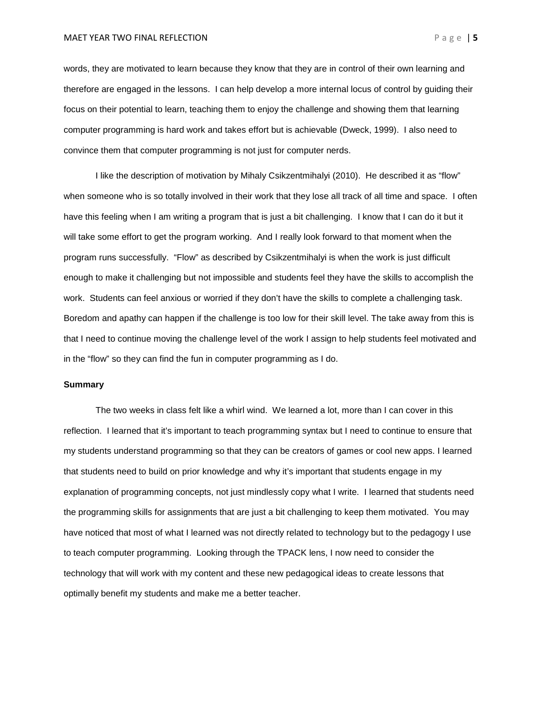**MAET YEAR TWO FINAL REFLECTION Page | 5** 

words, they are motivated to learn because they know that they are in control of their own learning and therefore are engaged in the lessons. I can help develop a more internal locus of control by guiding their focus on their potential to learn, teaching them to enjoy the challenge and showing them that learning computer programming is hard work and takes effort but is achievable (Dweck, 1999). I also need to convince them that computer programming is not just for computer nerds.

I like the description of motivation by Mihaly Csikzentmihalyi (2010). He described it as "flow" when someone who is so totally involved in their work that they lose all track of all time and space. I often have this feeling when I am writing a program that is just a bit challenging. I know that I can do it but it will take some effort to get the program working. And I really look forward to that moment when the program runs successfully. "Flow" as described by Csikzentmihalyi is when the work is just difficult enough to make it challenging but not impossible and students feel they have the skills to accomplish the work. Students can feel anxious or worried if they don't have the skills to complete a challenging task. Boredom and apathy can happen if the challenge is too low for their skill level. The take away from this is that I need to continue moving the challenge level of the work I assign to help students feel motivated and in the "flow" so they can find the fun in computer programming as I do.

# **Summary**

The two weeks in class felt like a whirl wind. We learned a lot, more than I can cover in this reflection. I learned that it's important to teach programming syntax but I need to continue to ensure that my students understand programming so that they can be creators of games or cool new apps. I learned that students need to build on prior knowledge and why it's important that students engage in my explanation of programming concepts, not just mindlessly copy what I write. I learned that students need the programming skills for assignments that are just a bit challenging to keep them motivated. You may have noticed that most of what I learned was not directly related to technology but to the pedagogy I use to teach computer programming. Looking through the TPACK lens, I now need to consider the technology that will work with my content and these new pedagogical ideas to create lessons that optimally benefit my students and make me a better teacher.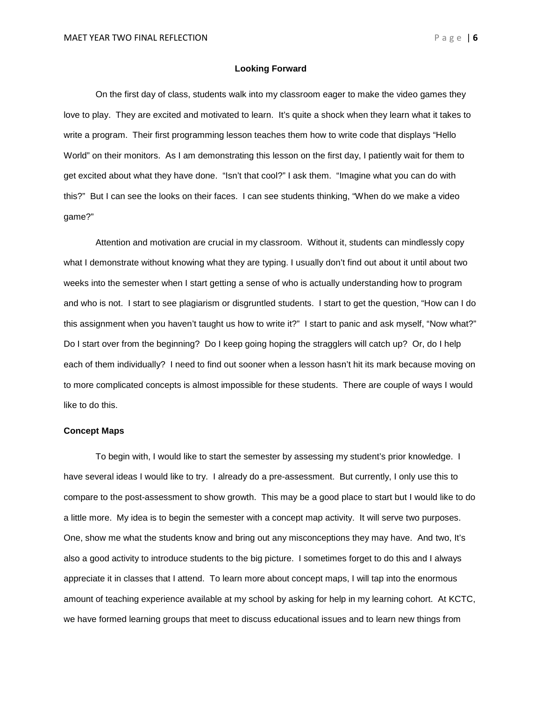## **Looking Forward**

On the first day of class, students walk into my classroom eager to make the video games they love to play. They are excited and motivated to learn. It's quite a shock when they learn what it takes to write a program. Their first programming lesson teaches them how to write code that displays "Hello World" on their monitors. As I am demonstrating this lesson on the first day, I patiently wait for them to get excited about what they have done. "Isn't that cool?" I ask them. "Imagine what you can do with this?" But I can see the looks on their faces. I can see students thinking, "When do we make a video game?"

Attention and motivation are crucial in my classroom. Without it, students can mindlessly copy what I demonstrate without knowing what they are typing. I usually don't find out about it until about two weeks into the semester when I start getting a sense of who is actually understanding how to program and who is not. I start to see plagiarism or disgruntled students. I start to get the question, "How can I do this assignment when you haven't taught us how to write it?" I start to panic and ask myself, "Now what?" Do I start over from the beginning? Do I keep going hoping the stragglers will catch up? Or, do I help each of them individually? I need to find out sooner when a lesson hasn't hit its mark because moving on to more complicated concepts is almost impossible for these students. There are couple of ways I would like to do this.

## **Concept Maps**

To begin with, I would like to start the semester by assessing my student's prior knowledge. I have several ideas I would like to try. I already do a pre-assessment. But currently, I only use this to compare to the post-assessment to show growth. This may be a good place to start but I would like to do a little more. My idea is to begin the semester with a concept map activity. It will serve two purposes. One, show me what the students know and bring out any misconceptions they may have. And two, It's also a good activity to introduce students to the big picture. I sometimes forget to do this and I always appreciate it in classes that I attend. To learn more about concept maps, I will tap into the enormous amount of teaching experience available at my school by asking for help in my learning cohort. At KCTC, we have formed learning groups that meet to discuss educational issues and to learn new things from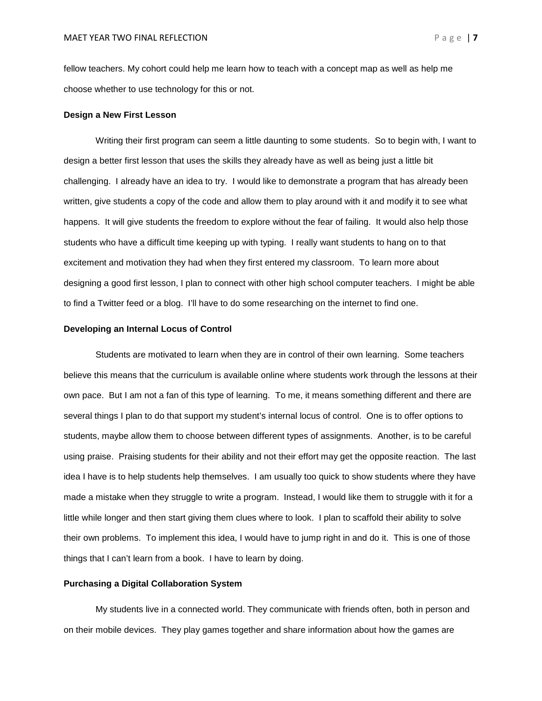fellow teachers. My cohort could help me learn how to teach with a concept map as well as help me choose whether to use technology for this or not.

#### **Design a New First Lesson**

Writing their first program can seem a little daunting to some students. So to begin with, I want to design a better first lesson that uses the skills they already have as well as being just a little bit challenging. I already have an idea to try. I would like to demonstrate a program that has already been written, give students a copy of the code and allow them to play around with it and modify it to see what happens. It will give students the freedom to explore without the fear of failing. It would also help those students who have a difficult time keeping up with typing. I really want students to hang on to that excitement and motivation they had when they first entered my classroom. To learn more about designing a good first lesson, I plan to connect with other high school computer teachers. I might be able to find a Twitter feed or a blog. I'll have to do some researching on the internet to find one.

## **Developing an Internal Locus of Control**

Students are motivated to learn when they are in control of their own learning. Some teachers believe this means that the curriculum is available online where students work through the lessons at their own pace. But I am not a fan of this type of learning. To me, it means something different and there are several things I plan to do that support my student's internal locus of control. One is to offer options to students, maybe allow them to choose between different types of assignments. Another, is to be careful using praise. Praising students for their ability and not their effort may get the opposite reaction. The last idea I have is to help students help themselves. I am usually too quick to show students where they have made a mistake when they struggle to write a program. Instead, I would like them to struggle with it for a little while longer and then start giving them clues where to look. I plan to scaffold their ability to solve their own problems. To implement this idea, I would have to jump right in and do it. This is one of those things that I can't learn from a book. I have to learn by doing.

# **Purchasing a Digital Collaboration System**

My students live in a connected world. They communicate with friends often, both in person and on their mobile devices. They play games together and share information about how the games are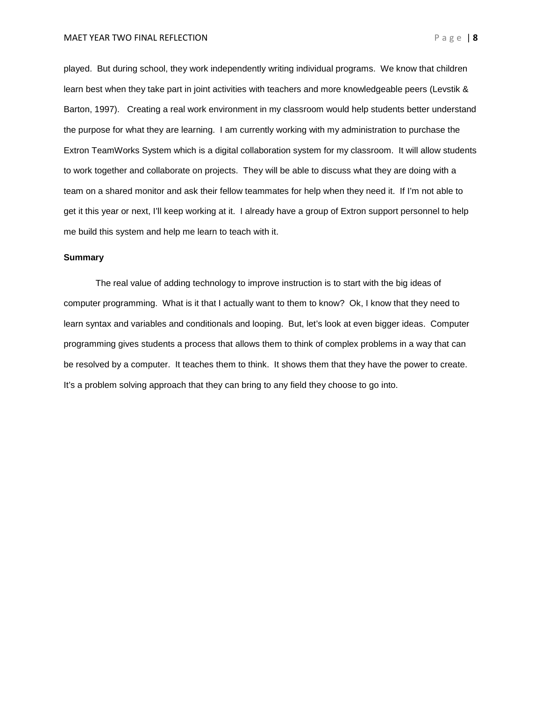played. But during school, they work independently writing individual programs. We know that children learn best when they take part in joint activities with teachers and more knowledgeable peers (Levstik & Barton, 1997). Creating a real work environment in my classroom would help students better understand the purpose for what they are learning. I am currently working with my administration to purchase the Extron TeamWorks System which is a digital collaboration system for my classroom. It will allow students to work together and collaborate on projects. They will be able to discuss what they are doing with a team on a shared monitor and ask their fellow teammates for help when they need it. If I'm not able to get it this year or next, I'll keep working at it. I already have a group of Extron support personnel to help me build this system and help me learn to teach with it.

## **Summary**

The real value of adding technology to improve instruction is to start with the big ideas of computer programming. What is it that I actually want to them to know? Ok, I know that they need to learn syntax and variables and conditionals and looping. But, let's look at even bigger ideas. Computer programming gives students a process that allows them to think of complex problems in a way that can be resolved by a computer. It teaches them to think. It shows them that they have the power to create. It's a problem solving approach that they can bring to any field they choose to go into.